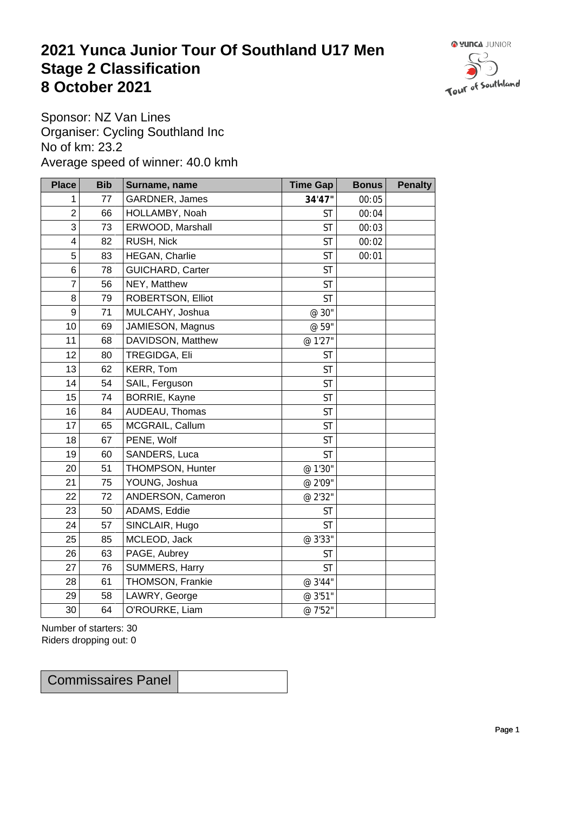## **2021 Yunca Junior Tour Of Southland U17 Men** Stage 2 Classification<br>8 October 2021 **8 October 2021**



Sponsor: NZ Van Lines Organiser: Cycling Southland Inc No of km: 23.2 Average speed of winner: 40.0 kmh

| <b>Place</b>            | <b>Bib</b> | Surname, name        | <b>Time Gap</b> | <b>Bonus</b> | <b>Penalty</b> |
|-------------------------|------------|----------------------|-----------------|--------------|----------------|
| 1                       | $77$       | GARDNER, James       | 34'47"          | 00:05        |                |
| $\mathbf 2$             | 66         | HOLLAMBY, Noah       | <b>ST</b>       | 00:04        |                |
| 3                       | 73         | ERWOOD, Marshall     | <b>ST</b>       | 00:03        |                |
| $\overline{\mathbf{4}}$ | 82         | RUSH, Nick           | <b>ST</b>       | 00:02        |                |
| 5                       | 83         | HEGAN, Charlie       | <b>ST</b>       | 00:01        |                |
| $\,6\,$                 | 78         | GUICHARD, Carter     | <b>ST</b>       |              |                |
| $\overline{7}$          | 56         | NEY, Matthew         | <b>ST</b>       |              |                |
| $\,8\,$                 | 79         | ROBERTSON, Elliot    | <b>ST</b>       |              |                |
| $\boldsymbol{9}$        | 71         | MULCAHY, Joshua      | @ 30"           |              |                |
| 10                      | 69         | JAMIESON, Magnus     | @ 59"           |              |                |
| 11                      | 68         | DAVIDSON, Matthew    | @ 1'27"         |              |                |
| 12                      | 80         | TREGIDGA, Eli        | <b>ST</b>       |              |                |
| 13                      | 62         | KERR, Tom            | <b>ST</b>       |              |                |
| 14                      | 54         | SAIL, Ferguson       | <b>ST</b>       |              |                |
| 15                      | 74         | <b>BORRIE, Kayne</b> | <b>ST</b>       |              |                |
| 16                      | 84         | AUDEAU, Thomas       | <b>ST</b>       |              |                |
| 17                      | 65         | MCGRAIL, Callum      | <b>ST</b>       |              |                |
| 18                      | 67         | PENE, Wolf           | <b>ST</b>       |              |                |
| 19                      | 60         | SANDERS, Luca        | <b>ST</b>       |              |                |
| 20                      | 51         | THOMPSON, Hunter     | @ 1'30"         |              |                |
| 21                      | 75         | YOUNG, Joshua        | @ 2'09"         |              |                |
| 22                      | 72         | ANDERSON, Cameron    | @ 2'32"         |              |                |
| 23                      | 50         | ADAMS, Eddie         | <b>ST</b>       |              |                |
| 24                      | 57         | SINCLAIR, Hugo       | <b>ST</b>       |              |                |
| 25                      | 85         | MCLEOD, Jack         | @ 3'33"         |              |                |
| 26                      | 63         | PAGE, Aubrey         | <b>ST</b>       |              |                |
| 27                      | 76         | SUMMERS, Harry       | <b>ST</b>       |              |                |
| 28                      | 61         | THOMSON, Frankie     | @ 3'44"         |              |                |
| 29                      | 58         | LAWRY, George        | @ 3'51"         |              |                |
| 30                      | 64         | O'ROURKE, Liam       | @ 7'52"         |              |                |

Number of starters: 30 Riders dropping out: 0

Commissaires Panel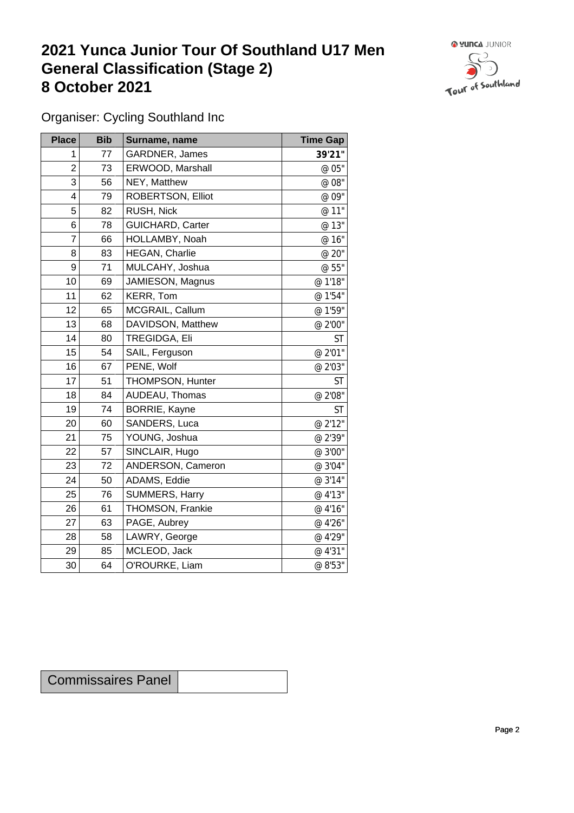## **2021 Yunca Junior Tour Of Southland U17 Men General Classification (Stage 2)**<br> **8 October 2021 8 October 2021**



Organiser: Cycling Southland Inc

| <b>Place</b>     | <b>Bib</b> | Surname, name           | <b>Time Gap</b> |
|------------------|------------|-------------------------|-----------------|
| 1                | 77         | GARDNER, James          | 39'21"          |
| $\overline{2}$   | 73         | ERWOOD, Marshall        | @ 05"           |
| 3                | 56         | NEY, Matthew            | @ 08"           |
| 4                | 79         | ROBERTSON, Elliot       | @ 09"           |
| 5                | 82         | RUSH, Nick              | @ 11"           |
| 6                | 78         | <b>GUICHARD, Carter</b> | @ 13"           |
| 7                | 66         | HOLLAMBY, Noah          | @ 16"           |
| 8                | 83         | HEGAN, Charlie          | @ 20"           |
| $\boldsymbol{9}$ | 71         | MULCAHY, Joshua         | @ 55"           |
| 10               | 69         | JAMIESON, Magnus        | @ 1'18"         |
| 11               | 62         | KERR, Tom               | @ 1'54"         |
| 12               | 65         | MCGRAIL, Callum         | @ 1'59"         |
| 13               | 68         | DAVIDSON, Matthew       | @ 2'00"         |
| 14               | 80         | TREGIDGA, Eli           | ST              |
| 15               | 54         | SAIL, Ferguson          | @ 2'01"         |
| 16               | 67         | PENE, Wolf              | @ 2'03"         |
| 17               | 51         | THOMPSON, Hunter        | <b>ST</b>       |
| 18               | 84         | AUDEAU, Thomas          | @ 2'08"         |
| 19               | 74         | <b>BORRIE, Kayne</b>    | <b>ST</b>       |
| 20               | 60         | SANDERS, Luca           | @ 2'12"         |
| 21               | 75         | YOUNG, Joshua           | @ 2'39"         |
| 22               | 57         | SINCLAIR, Hugo          | @ 3'00"         |
| 23               | 72         | ANDERSON, Cameron       | @ 3'04"         |
| 24               | 50         | ADAMS, Eddie            | @ 3'14"         |
| 25               | 76         | SUMMERS, Harry          | @ 4'13"         |
| 26               | 61         | THOMSON, Frankie        | @ 4'16"         |
| 27               | 63         | PAGE, Aubrey            | @ 4'26"         |
| 28               | 58         | LAWRY, George           | @ 4'29"         |
| 29               | 85         | MCLEOD, Jack            | @ 4'31"         |
| 30               | 64         | O'ROURKE, Liam          | @ 8'53"         |

| <b>Commissaires Panel</b> |  |
|---------------------------|--|
|---------------------------|--|